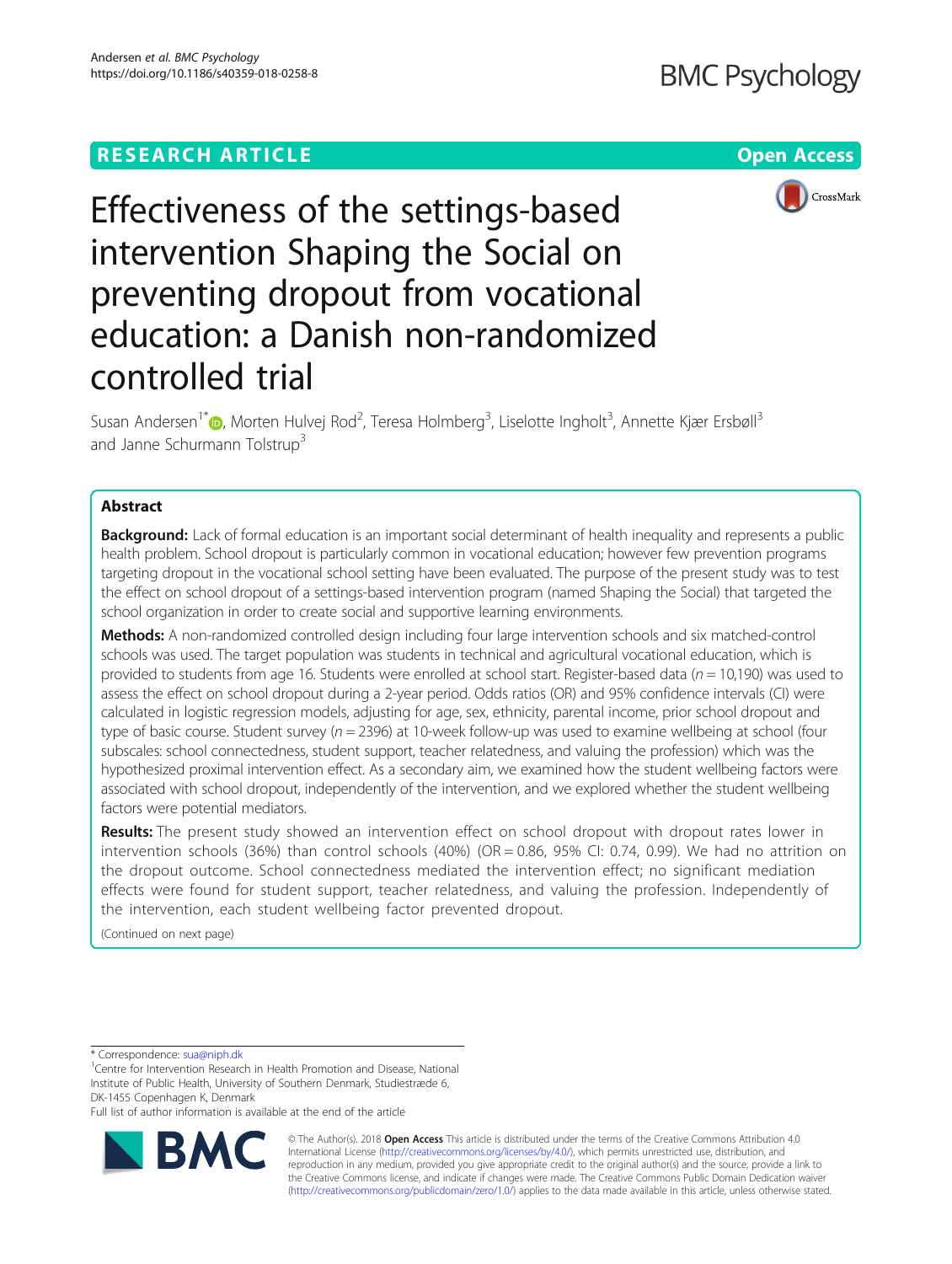## **RESEARCH ARTICLE EXECUTE: CONSIDERING A RESEARCH ARTICLE**



# Effectiveness of the settings-based intervention Shaping the Social on preventing dropout from vocational education: a Danish non-randomized controlled trial

Susan Andersen<sup>1\*</sup> (**D**, Morten Hulvej Rod<sup>2</sup>, Teresa Holmberg<sup>3</sup>, Liselotte Ingholt<sup>3</sup>, Annette Kjær Ersbøll<sup>3</sup> and Janne Schurmann Tolstrup<sup>3</sup>

## Abstract

**Background:** Lack of formal education is an important social determinant of health inequality and represents a public health problem. School dropout is particularly common in vocational education; however few prevention programs targeting dropout in the vocational school setting have been evaluated. The purpose of the present study was to test the effect on school dropout of a settings-based intervention program (named Shaping the Social) that targeted the school organization in order to create social and supportive learning environments.

Methods: A non-randomized controlled design including four large intervention schools and six matched-control schools was used. The target population was students in technical and agricultural vocational education, which is provided to students from age 16. Students were enrolled at school start. Register-based data ( $n = 10,190$ ) was used to assess the effect on school dropout during a 2-year period. Odds ratios (OR) and 95% confidence intervals (CI) were calculated in logistic regression models, adjusting for age, sex, ethnicity, parental income, prior school dropout and type of basic course. Student survey ( $n = 2396$ ) at 10-week follow-up was used to examine wellbeing at school (four subscales: school connectedness, student support, teacher relatedness, and valuing the profession) which was the hypothesized proximal intervention effect. As a secondary aim, we examined how the student wellbeing factors were associated with school dropout, independently of the intervention, and we explored whether the student wellbeing factors were potential mediators.

Results: The present study showed an intervention effect on school dropout with dropout rates lower in intervention schools (36%) than control schools (40%) (OR = 0.86, 95% CI: 0.74, 0.99). We had no attrition on the dropout outcome. School connectedness mediated the intervention effect; no significant mediation effects were found for student support, teacher relatedness, and valuing the profession. Independently of the intervention, each student wellbeing factor prevented dropout.

(Continued on next page)

\* Correspondence: [sua@niph.dk](mailto:sua@niph.dk) <sup>1</sup>

Full list of author information is available at the end of the article



© The Author(s). 2018 Open Access This article is distributed under the terms of the Creative Commons Attribution 4.0 International License [\(http://creativecommons.org/licenses/by/4.0/](http://creativecommons.org/licenses/by/4.0/)), which permits unrestricted use, distribution, and reproduction in any medium, provided you give appropriate credit to the original author(s) and the source, provide a link to the Creative Commons license, and indicate if changes were made. The Creative Commons Public Domain Dedication waiver [\(http://creativecommons.org/publicdomain/zero/1.0/](http://creativecommons.org/publicdomain/zero/1.0/)) applies to the data made available in this article, unless otherwise stated.

<sup>&</sup>lt;sup>1</sup> Centre for Intervention Research in Health Promotion and Disease, National Institute of Public Health, University of Southern Denmark, Studiestræde 6, DK-1455 Copenhagen K, Denmark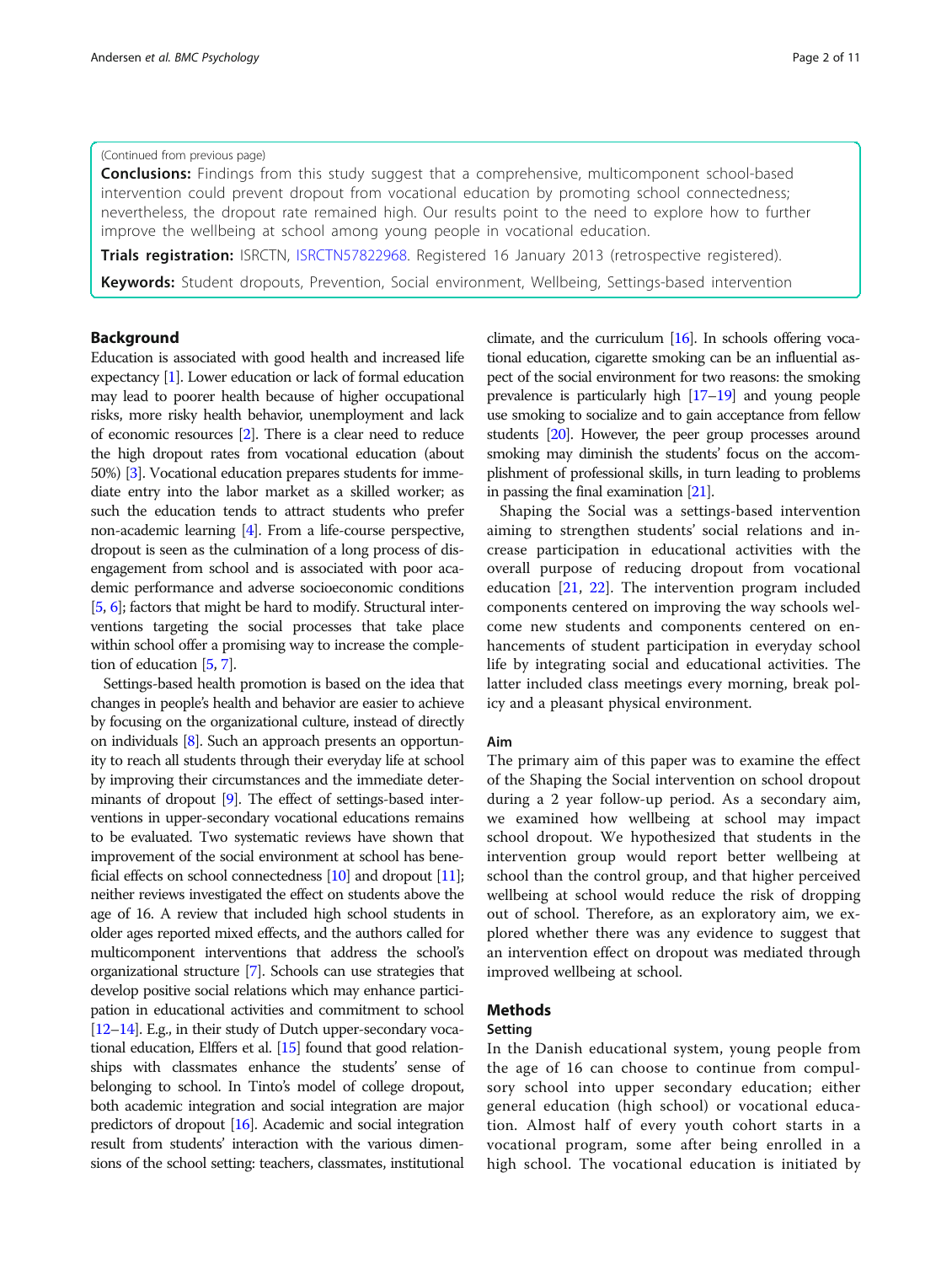## (Continued from previous page)

**Conclusions:** Findings from this study suggest that a comprehensive, multicomponent school-based intervention could prevent dropout from vocational education by promoting school connectedness; nevertheless, the dropout rate remained high. Our results point to the need to explore how to further improve the wellbeing at school among young people in vocational education.

Trials registration: ISRCTN, [ISRCTN57822968.](http://www.isrctn.com/ISRCTN57822968) Registered 16 January 2013 (retrospective registered).

Keywords: Student dropouts, Prevention, Social environment, Wellbeing, Settings-based intervention

## Background

Education is associated with good health and increased life expectancy [\[1\]](#page-9-0). Lower education or lack of formal education may lead to poorer health because of higher occupational risks, more risky health behavior, unemployment and lack of economic resources [\[2\]](#page-9-0). There is a clear need to reduce the high dropout rates from vocational education (about 50%) [\[3](#page-9-0)]. Vocational education prepares students for immediate entry into the labor market as a skilled worker; as such the education tends to attract students who prefer non-academic learning [\[4\]](#page-9-0). From a life-course perspective, dropout is seen as the culmination of a long process of disengagement from school and is associated with poor academic performance and adverse socioeconomic conditions [[5](#page-9-0), [6\]](#page-9-0); factors that might be hard to modify. Structural interventions targeting the social processes that take place within school offer a promising way to increase the completion of education [\[5,](#page-9-0) [7](#page-9-0)].

Settings-based health promotion is based on the idea that changes in people's health and behavior are easier to achieve by focusing on the organizational culture, instead of directly on individuals [\[8\]](#page-9-0). Such an approach presents an opportunity to reach all students through their everyday life at school by improving their circumstances and the immediate determinants of dropout [[9](#page-9-0)]. The effect of settings-based interventions in upper-secondary vocational educations remains to be evaluated. Two systematic reviews have shown that improvement of the social environment at school has beneficial effects on school connectedness [\[10\]](#page-9-0) and dropout [\[11](#page-9-0)]; neither reviews investigated the effect on students above the age of 16. A review that included high school students in older ages reported mixed effects, and the authors called for multicomponent interventions that address the school's organizational structure [\[7\]](#page-9-0). Schools can use strategies that develop positive social relations which may enhance participation in educational activities and commitment to school [[12](#page-9-0)–[14](#page-10-0)]. E.g., in their study of Dutch upper-secondary vocational education, Elffers et al. [\[15](#page-10-0)] found that good relationships with classmates enhance the students' sense of belonging to school. In Tinto's model of college dropout, both academic integration and social integration are major predictors of dropout [\[16](#page-10-0)]. Academic and social integration result from students' interaction with the various dimensions of the school setting: teachers, classmates, institutional

climate, and the curriculum [\[16](#page-10-0)]. In schools offering vocational education, cigarette smoking can be an influential aspect of the social environment for two reasons: the smoking prevalence is particularly high [[17](#page-10-0)–[19\]](#page-10-0) and young people use smoking to socialize and to gain acceptance from fellow students [[20\]](#page-10-0). However, the peer group processes around smoking may diminish the students' focus on the accomplishment of professional skills, in turn leading to problems in passing the final examination [\[21](#page-10-0)].

Shaping the Social was a settings-based intervention aiming to strengthen students' social relations and increase participation in educational activities with the overall purpose of reducing dropout from vocational education [\[21](#page-10-0), [22\]](#page-10-0). The intervention program included components centered on improving the way schools welcome new students and components centered on enhancements of student participation in everyday school life by integrating social and educational activities. The latter included class meetings every morning, break policy and a pleasant physical environment.

## Aim

The primary aim of this paper was to examine the effect of the Shaping the Social intervention on school dropout during a 2 year follow-up period. As a secondary aim, we examined how wellbeing at school may impact school dropout. We hypothesized that students in the intervention group would report better wellbeing at school than the control group, and that higher perceived wellbeing at school would reduce the risk of dropping out of school. Therefore, as an exploratory aim, we explored whether there was any evidence to suggest that an intervention effect on dropout was mediated through improved wellbeing at school.

## Methods

## Setting

In the Danish educational system, young people from the age of 16 can choose to continue from compulsory school into upper secondary education; either general education (high school) or vocational education. Almost half of every youth cohort starts in a vocational program, some after being enrolled in a high school. The vocational education is initiated by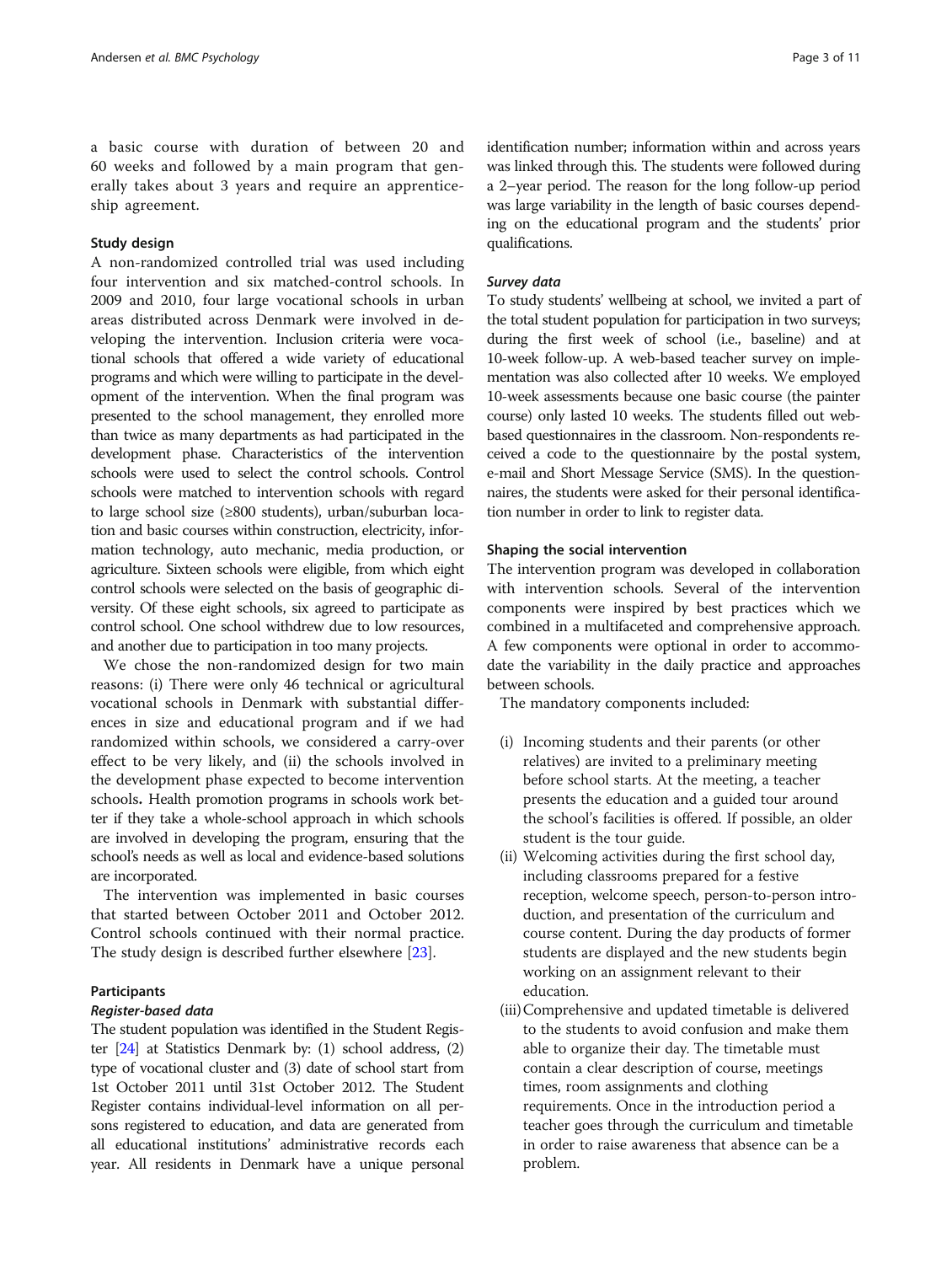a basic course with duration of between 20 and 60 weeks and followed by a main program that generally takes about 3 years and require an apprenticeship agreement.

## Study design

A non-randomized controlled trial was used including four intervention and six matched-control schools. In 2009 and 2010, four large vocational schools in urban areas distributed across Denmark were involved in developing the intervention. Inclusion criteria were vocational schools that offered a wide variety of educational programs and which were willing to participate in the development of the intervention. When the final program was presented to the school management, they enrolled more than twice as many departments as had participated in the development phase. Characteristics of the intervention schools were used to select the control schools. Control schools were matched to intervention schools with regard to large school size (≥800 students), urban/suburban location and basic courses within construction, electricity, information technology, auto mechanic, media production, or agriculture. Sixteen schools were eligible, from which eight control schools were selected on the basis of geographic diversity. Of these eight schools, six agreed to participate as control school. One school withdrew due to low resources, and another due to participation in too many projects.

We chose the non-randomized design for two main reasons: (i) There were only 46 technical or agricultural vocational schools in Denmark with substantial differences in size and educational program and if we had randomized within schools, we considered a carry-over effect to be very likely, and (ii) the schools involved in the development phase expected to become intervention schools. Health promotion programs in schools work better if they take a whole-school approach in which schools are involved in developing the program, ensuring that the school's needs as well as local and evidence-based solutions are incorporated.

The intervention was implemented in basic courses that started between October 2011 and October 2012. Control schools continued with their normal practice. The study design is described further elsewhere [[23\]](#page-10-0).

## Participants

## Register-based data

The student population was identified in the Student Register [\[24](#page-10-0)] at Statistics Denmark by: (1) school address, (2) type of vocational cluster and (3) date of school start from 1st October 2011 until 31st October 2012. The Student Register contains individual-level information on all persons registered to education, and data are generated from all educational institutions' administrative records each year. All residents in Denmark have a unique personal identification number; information within and across years was linked through this. The students were followed during a 2–year period. The reason for the long follow-up period was large variability in the length of basic courses depending on the educational program and the students' prior qualifications.

## Survey data

To study students' wellbeing at school, we invited a part of the total student population for participation in two surveys; during the first week of school (i.e., baseline) and at 10-week follow-up. A web-based teacher survey on implementation was also collected after 10 weeks. We employed 10-week assessments because one basic course (the painter course) only lasted 10 weeks. The students filled out webbased questionnaires in the classroom. Non-respondents received a code to the questionnaire by the postal system, e-mail and Short Message Service (SMS). In the questionnaires, the students were asked for their personal identification number in order to link to register data.

## Shaping the social intervention

The intervention program was developed in collaboration with intervention schools. Several of the intervention components were inspired by best practices which we combined in a multifaceted and comprehensive approach. A few components were optional in order to accommodate the variability in the daily practice and approaches between schools.

The mandatory components included:

- (i) Incoming students and their parents (or other relatives) are invited to a preliminary meeting before school starts. At the meeting, a teacher presents the education and a guided tour around the school's facilities is offered. If possible, an older student is the tour guide.
- (ii) Welcoming activities during the first school day, including classrooms prepared for a festive reception, welcome speech, person-to-person introduction, and presentation of the curriculum and course content. During the day products of former students are displayed and the new students begin working on an assignment relevant to their education.
- (iii)Comprehensive and updated timetable is delivered to the students to avoid confusion and make them able to organize their day. The timetable must contain a clear description of course, meetings times, room assignments and clothing requirements. Once in the introduction period a teacher goes through the curriculum and timetable in order to raise awareness that absence can be a problem.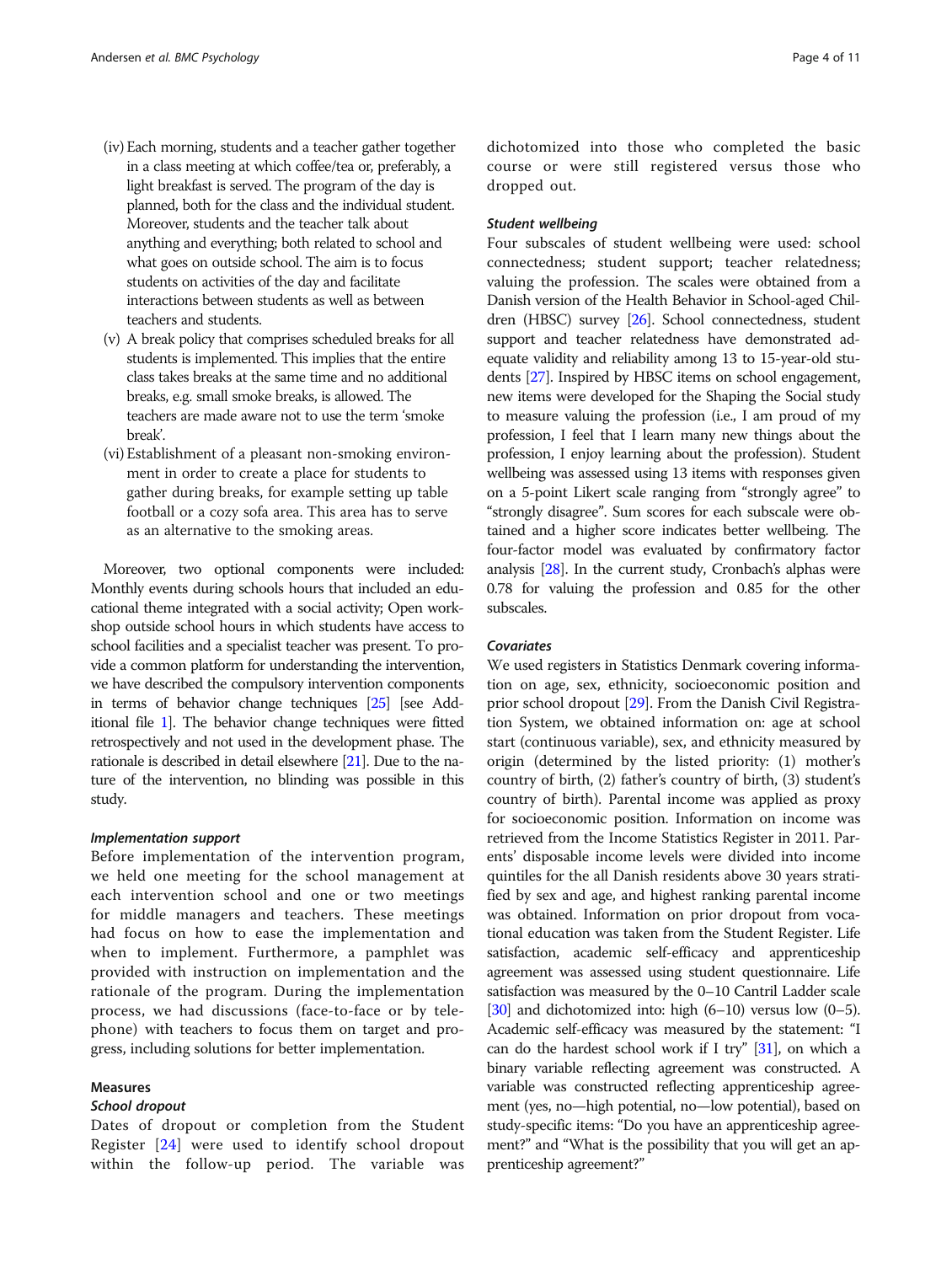- (iv) Each morning, students and a teacher gather together in a class meeting at which coffee/tea or, preferably, a light breakfast is served. The program of the day is planned, both for the class and the individual student. Moreover, students and the teacher talk about anything and everything; both related to school and what goes on outside school. The aim is to focus students on activities of the day and facilitate interactions between students as well as between teachers and students.
- (v) A break policy that comprises scheduled breaks for all students is implemented. This implies that the entire class takes breaks at the same time and no additional breaks, e.g. small smoke breaks, is allowed. The teachers are made aware not to use the term 'smoke break'.
- (vi) Establishment of a pleasant non-smoking environment in order to create a place for students to gather during breaks, for example setting up table football or a cozy sofa area. This area has to serve as an alternative to the smoking areas.

Moreover, two optional components were included: Monthly events during schools hours that included an educational theme integrated with a social activity; Open workshop outside school hours in which students have access to school facilities and a specialist teacher was present. To provide a common platform for understanding the intervention, we have described the compulsory intervention components in terms of behavior change techniques [\[25](#page-10-0)] [see Additional file [1](#page-9-0)]. The behavior change techniques were fitted retrospectively and not used in the development phase. The rationale is described in detail elsewhere [\[21](#page-10-0)]. Due to the nature of the intervention, no blinding was possible in this study.

## Implementation support

Before implementation of the intervention program, we held one meeting for the school management at each intervention school and one or two meetings for middle managers and teachers. These meetings had focus on how to ease the implementation and when to implement. Furthermore, a pamphlet was provided with instruction on implementation and the rationale of the program. During the implementation process, we had discussions (face-to-face or by telephone) with teachers to focus them on target and progress, including solutions for better implementation.

## Measures

## School dropout

Dates of dropout or completion from the Student Register [[24](#page-10-0)] were used to identify school dropout within the follow-up period. The variable was dichotomized into those who completed the basic course or were still registered versus those who dropped out.

## Student wellbeing

Four subscales of student wellbeing were used: school connectedness; student support; teacher relatedness; valuing the profession. The scales were obtained from a Danish version of the Health Behavior in School-aged Children (HBSC) survey [\[26\]](#page-10-0). School connectedness, student support and teacher relatedness have demonstrated adequate validity and reliability among 13 to 15-year-old students [\[27](#page-10-0)]. Inspired by HBSC items on school engagement, new items were developed for the Shaping the Social study to measure valuing the profession (i.e., I am proud of my profession, I feel that I learn many new things about the profession, I enjoy learning about the profession). Student wellbeing was assessed using 13 items with responses given on a 5-point Likert scale ranging from "strongly agree" to "strongly disagree". Sum scores for each subscale were obtained and a higher score indicates better wellbeing. The four-factor model was evaluated by confirmatory factor analysis [\[28\]](#page-10-0). In the current study, Cronbach's alphas were 0.78 for valuing the profession and 0.85 for the other subscales.

## Covariates

We used registers in Statistics Denmark covering information on age, sex, ethnicity, socioeconomic position and prior school dropout [[29](#page-10-0)]. From the Danish Civil Registration System, we obtained information on: age at school start (continuous variable), sex, and ethnicity measured by origin (determined by the listed priority: (1) mother's country of birth, (2) father's country of birth, (3) student's country of birth). Parental income was applied as proxy for socioeconomic position. Information on income was retrieved from the Income Statistics Register in 2011. Parents' disposable income levels were divided into income quintiles for the all Danish residents above 30 years stratified by sex and age, and highest ranking parental income was obtained. Information on prior dropout from vocational education was taken from the Student Register. Life satisfaction, academic self-efficacy and apprenticeship agreement was assessed using student questionnaire. Life satisfaction was measured by the 0–10 Cantril Ladder scale [[30](#page-10-0)] and dichotomized into: high  $(6-10)$  versus low  $(0-5)$ . Academic self-efficacy was measured by the statement: "I can do the hardest school work if I try" [\[31\]](#page-10-0), on which a binary variable reflecting agreement was constructed. A variable was constructed reflecting apprenticeship agreement (yes, no—high potential, no—low potential), based on study-specific items: "Do you have an apprenticeship agreement?" and "What is the possibility that you will get an apprenticeship agreement?"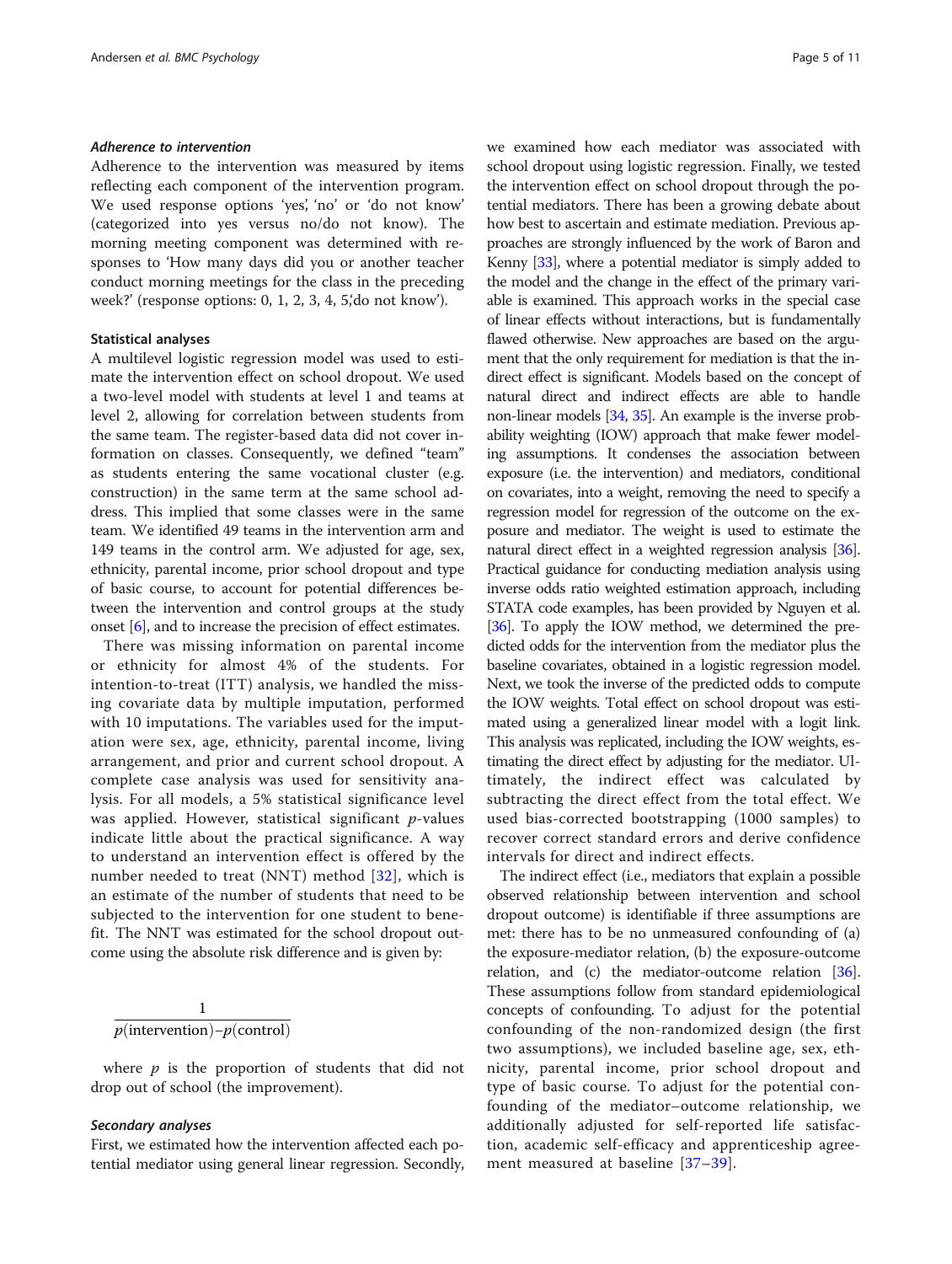## Adherence to intervention

Adherence to the intervention was measured by items reflecting each component of the intervention program. We used response options 'yes', 'no' or 'do not know' (categorized into yes versus no/do not know). The morning meeting component was determined with responses to 'How many days did you or another teacher conduct morning meetings for the class in the preceding week?' (response options: 0, 1, 2, 3, 4, 5,'do not know').

## Statistical analyses

A multilevel logistic regression model was used to estimate the intervention effect on school dropout. We used a two-level model with students at level 1 and teams at level 2, allowing for correlation between students from the same team. The register-based data did not cover information on classes. Consequently, we defined "team" as students entering the same vocational cluster (e.g. construction) in the same term at the same school address. This implied that some classes were in the same team. We identified 49 teams in the intervention arm and 149 teams in the control arm. We adjusted for age, sex, ethnicity, parental income, prior school dropout and type of basic course, to account for potential differences between the intervention and control groups at the study onset [[6\]](#page-9-0), and to increase the precision of effect estimates.

There was missing information on parental income or ethnicity for almost 4% of the students. For intention-to-treat (ITT) analysis, we handled the missing covariate data by multiple imputation, performed with 10 imputations. The variables used for the imputation were sex, age, ethnicity, parental income, living arrangement, and prior and current school dropout. A complete case analysis was used for sensitivity analysis. For all models, a 5% statistical significance level was applied. However, statistical significant  $p$ -values indicate little about the practical significance. A way to understand an intervention effect is offered by the number needed to treat (NNT) method [\[32\]](#page-10-0), which is an estimate of the number of students that need to be subjected to the intervention for one student to benefit. The NNT was estimated for the school dropout outcome using the absolute risk difference and is given by:

1  $p(\hbox{intervention})-p(\hbox{control})$ 

where  $p$  is the proportion of students that did not drop out of school (the improvement).

### Secondary analyses

First, we estimated how the intervention affected each potential mediator using general linear regression. Secondly, we examined how each mediator was associated with school dropout using logistic regression. Finally, we tested the intervention effect on school dropout through the potential mediators. There has been a growing debate about how best to ascertain and estimate mediation. Previous approaches are strongly influenced by the work of Baron and Kenny [\[33\]](#page-10-0), where a potential mediator is simply added to the model and the change in the effect of the primary variable is examined. This approach works in the special case of linear effects without interactions, but is fundamentally flawed otherwise. New approaches are based on the argument that the only requirement for mediation is that the indirect effect is significant. Models based on the concept of natural direct and indirect effects are able to handle non-linear models [[34](#page-10-0), [35](#page-10-0)]. An example is the inverse probability weighting (IOW) approach that make fewer modeling assumptions. It condenses the association between exposure (i.e. the intervention) and mediators, conditional on covariates, into a weight, removing the need to specify a regression model for regression of the outcome on the exposure and mediator. The weight is used to estimate the natural direct effect in a weighted regression analysis [\[36](#page-10-0)]. Practical guidance for conducting mediation analysis using inverse odds ratio weighted estimation approach, including STATA code examples, has been provided by Nguyen et al. [[36](#page-10-0)]. To apply the IOW method, we determined the predicted odds for the intervention from the mediator plus the baseline covariates, obtained in a logistic regression model. Next, we took the inverse of the predicted odds to compute the IOW weights. Total effect on school dropout was estimated using a generalized linear model with a logit link. This analysis was replicated, including the IOW weights, estimating the direct effect by adjusting for the mediator. Ultimately, the indirect effect was calculated by subtracting the direct effect from the total effect. We used bias-corrected bootstrapping (1000 samples) to recover correct standard errors and derive confidence intervals for direct and indirect effects.

The indirect effect (i.e., mediators that explain a possible observed relationship between intervention and school dropout outcome) is identifiable if three assumptions are met: there has to be no unmeasured confounding of (a) the exposure-mediator relation, (b) the exposure-outcome relation, and (c) the mediator-outcome relation  $[36]$  $[36]$  $[36]$ . These assumptions follow from standard epidemiological concepts of confounding. To adjust for the potential confounding of the non-randomized design (the first two assumptions), we included baseline age, sex, ethnicity, parental income, prior school dropout and type of basic course. To adjust for the potential confounding of the mediator–outcome relationship, we additionally adjusted for self-reported life satisfaction, academic self-efficacy and apprenticeship agreement measured at baseline [[37](#page-10-0)–[39](#page-10-0)].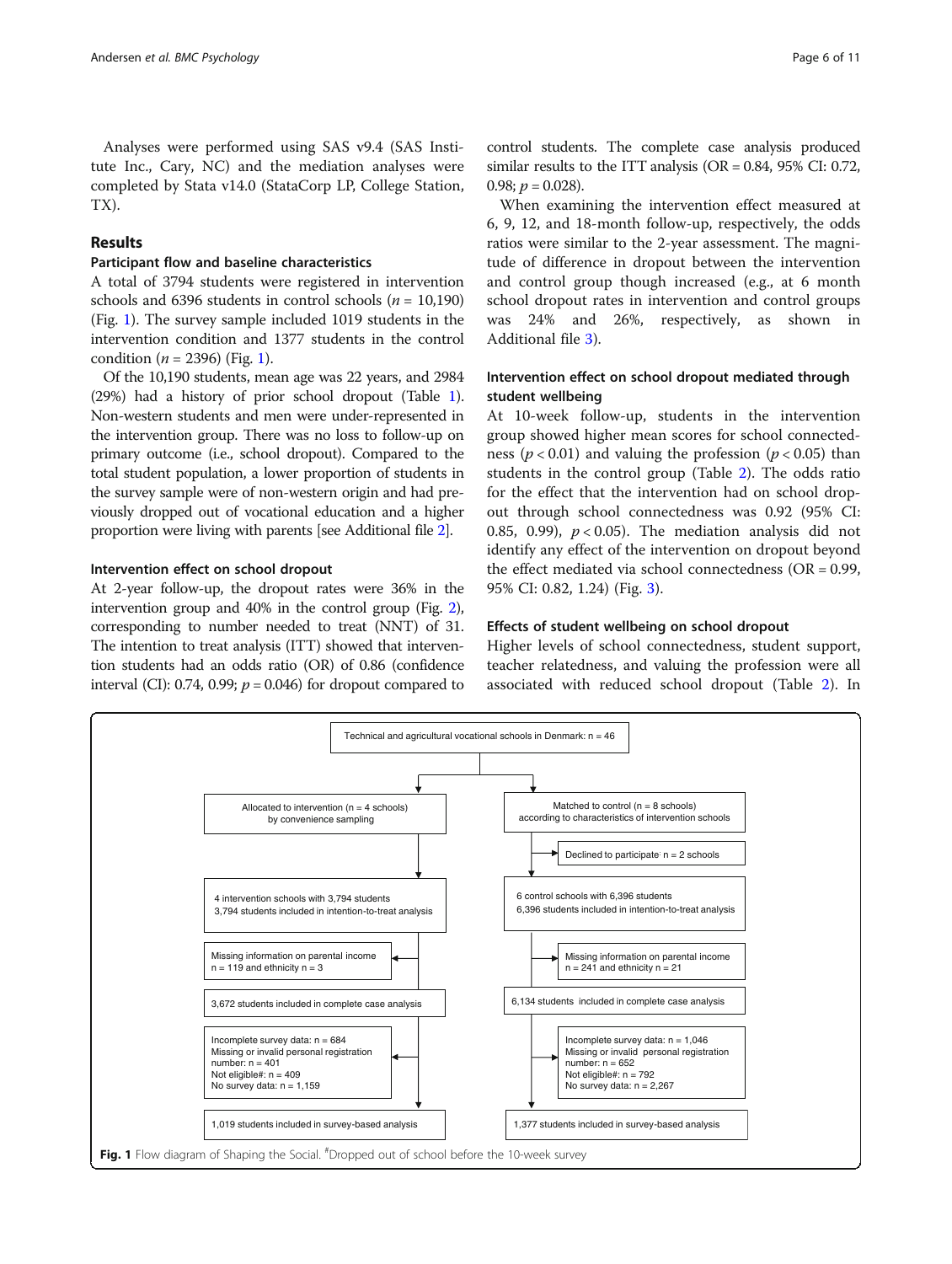Analyses were performed using SAS v9.4 (SAS Institute Inc., Cary, NC) and the mediation analyses were completed by Stata v14.0 (StataCorp LP, College Station, TX).

## Results

## Participant flow and baseline characteristics

A total of 3794 students were registered in intervention schools and 6396 students in control schools ( $n = 10,190$ ) (Fig. 1). The survey sample included 1019 students in the intervention condition and 1377 students in the control condition ( $n = 2396$ ) (Fig. 1).

Of the 10,190 students, mean age was 22 years, and 2984 (29%) had a history of prior school dropout (Table [1](#page-6-0)). Non-western students and men were under-represented in the intervention group. There was no loss to follow-up on primary outcome (i.e., school dropout). Compared to the total student population, a lower proportion of students in the survey sample were of non-western origin and had previously dropped out of vocational education and a higher proportion were living with parents [see Additional file [2\]](#page-9-0).

## Intervention effect on school dropout

At 2-year follow-up, the dropout rates were 36% in the intervention group and 40% in the control group (Fig. [2](#page-6-0)), corresponding to number needed to treat (NNT) of 31. The intention to treat analysis (ITT) showed that intervention students had an odds ratio (OR) of 0.86 (confidence interval (CI): 0.74, 0.99;  $p = 0.046$ ) for dropout compared to

control students. The complete case analysis produced similar results to the ITT analysis (OR = 0.84, 95% CI: 0.72, 0.98;  $p = 0.028$ ).

When examining the intervention effect measured at 6, 9, 12, and 18-month follow-up, respectively, the odds ratios were similar to the 2-year assessment. The magnitude of difference in dropout between the intervention and control group though increased (e.g., at 6 month school dropout rates in intervention and control groups was 24% and 26%, respectively, as shown in Additional file [3](#page-9-0)).

## Intervention effect on school dropout mediated through student wellbeing

At 10-week follow-up, students in the intervention group showed higher mean scores for school connectedness ( $p < 0.01$ ) and valuing the profession ( $p < 0.05$ ) than students in the control group (Table [2](#page-7-0)). The odds ratio for the effect that the intervention had on school dropout through school connectedness was 0.92 (95% CI: 0.85, 0.99),  $p < 0.05$ ). The mediation analysis did not identify any effect of the intervention on dropout beyond the effect mediated via school connectedness ( $OR = 0.99$ , 95% CI: 0.82, 1.24) (Fig. [3\)](#page-7-0).

## Effects of student wellbeing on school dropout

Higher levels of school connectedness, student support, teacher relatedness, and valuing the profession were all associated with reduced school dropout (Table [2](#page-7-0)). In

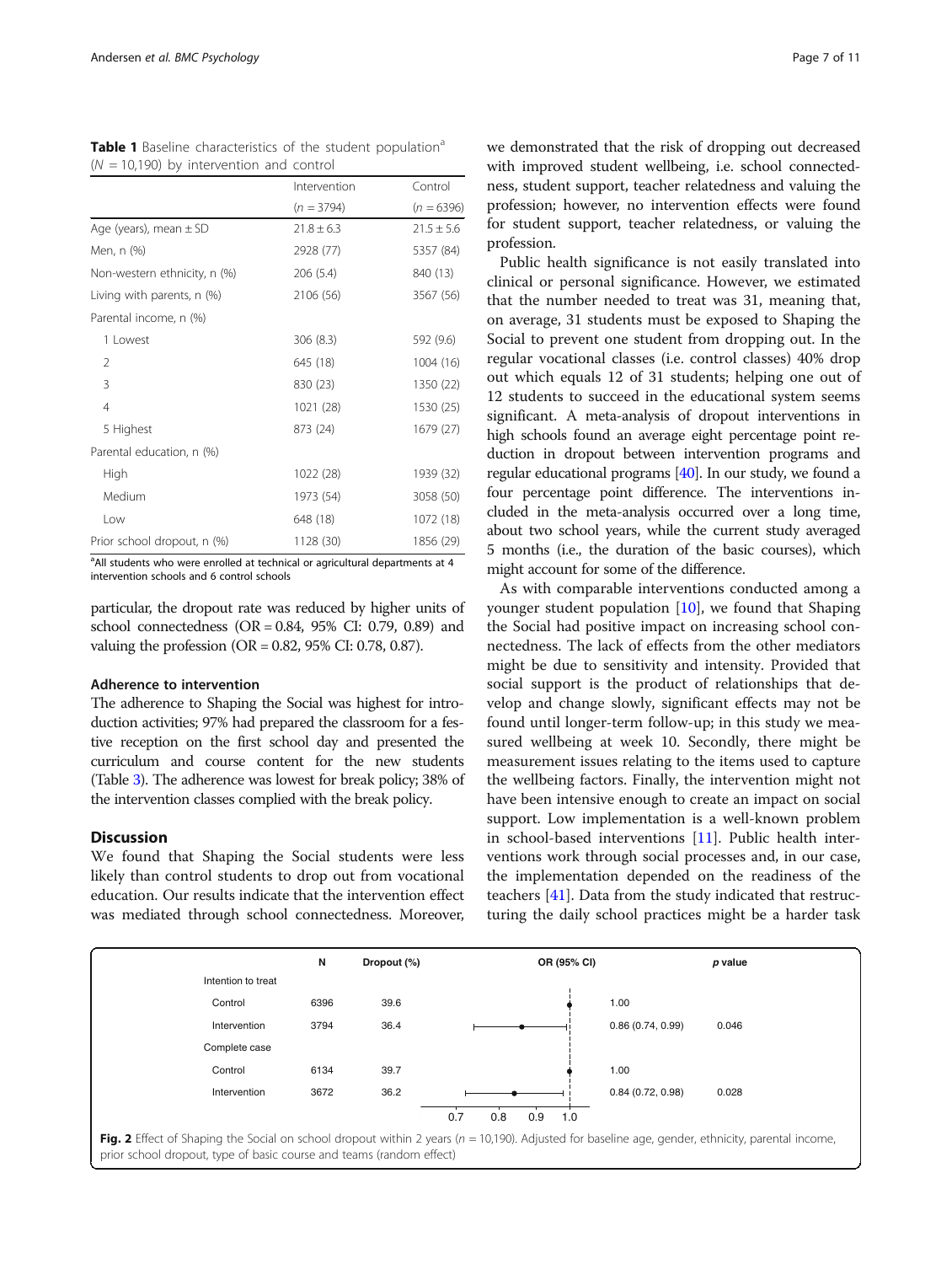|                              | Intervention   | Control        |
|------------------------------|----------------|----------------|
|                              | $(n = 3794)$   | $(n = 6396)$   |
| Age (years), mean $\pm$ SD   | $21.8 \pm 6.3$ | $21.5 \pm 5.6$ |
| Men, n (%)                   | 2928 (77)      | 5357 (84)      |
| Non-western ethnicity, n (%) | 206 (5.4)      | 840 (13)       |
| Living with parents, n (%)   | 2106 (56)      | 3567 (56)      |
| Parental income, n (%)       |                |                |
| 1 Lowest                     | 306 (8.3)      | 592 (9.6)      |
| 2                            | 645 (18)       | 1004 (16)      |
| 3                            | 830 (23)       | 1350 (22)      |
| $\overline{4}$               | 1021 (28)      | 1530 (25)      |
| 5 Highest                    | 873 (24)       | 1679 (27)      |
| Parental education, n (%)    |                |                |
| High                         | 1022 (28)      | 1939 (32)      |
| Medium                       | 1973 (54)      | 3058 (50)      |
| Low                          | 648 (18)       | 1072 (18)      |
| Prior school dropout, n (%)  | 1128 (30)      | 1856 (29)      |

<span id="page-6-0"></span>Table 1 Baseline characteristics of the student population<sup>a</sup>  $(N = 10.190)$  by intervention and control

<sup>a</sup>All students who were enrolled at technical or agricultural departments at 4 intervention schools and 6 control schools

particular, the dropout rate was reduced by higher units of school connectedness (OR = 0.84, 95% CI: 0.79, 0.89) and valuing the profession (OR = 0.82, 95% CI: 0.78, 0.87).

## Adherence to intervention

The adherence to Shaping the Social was highest for introduction activities; 97% had prepared the classroom for a festive reception on the first school day and presented the curriculum and course content for the new students (Table [3\)](#page-8-0). The adherence was lowest for break policy; 38% of the intervention classes complied with the break policy.

## **Discussion**

We found that Shaping the Social students were less likely than control students to drop out from vocational education. Our results indicate that the intervention effect was mediated through school connectedness. Moreover, we demonstrated that the risk of dropping out decreased with improved student wellbeing, i.e. school connectedness, student support, teacher relatedness and valuing the profession; however, no intervention effects were found for student support, teacher relatedness, or valuing the profession.

Public health significance is not easily translated into clinical or personal significance. However, we estimated that the number needed to treat was 31, meaning that, on average, 31 students must be exposed to Shaping the Social to prevent one student from dropping out. In the regular vocational classes (i.e. control classes) 40% drop out which equals 12 of 31 students; helping one out of 12 students to succeed in the educational system seems significant. A meta-analysis of dropout interventions in high schools found an average eight percentage point reduction in dropout between intervention programs and regular educational programs [\[40\]](#page-10-0). In our study, we found a four percentage point difference. The interventions included in the meta-analysis occurred over a long time, about two school years, while the current study averaged 5 months (i.e., the duration of the basic courses), which might account for some of the difference.

As with comparable interventions conducted among a younger student population [[10\]](#page-9-0), we found that Shaping the Social had positive impact on increasing school connectedness. The lack of effects from the other mediators might be due to sensitivity and intensity. Provided that social support is the product of relationships that develop and change slowly, significant effects may not be found until longer-term follow-up; in this study we measured wellbeing at week 10. Secondly, there might be measurement issues relating to the items used to capture the wellbeing factors. Finally, the intervention might not have been intensive enough to create an impact on social support. Low implementation is a well-known problem in school-based interventions [\[11](#page-9-0)]. Public health interventions work through social processes and, in our case, the implementation depended on the readiness of the teachers [\[41](#page-10-0)]. Data from the study indicated that restructuring the daily school practices might be a harder task

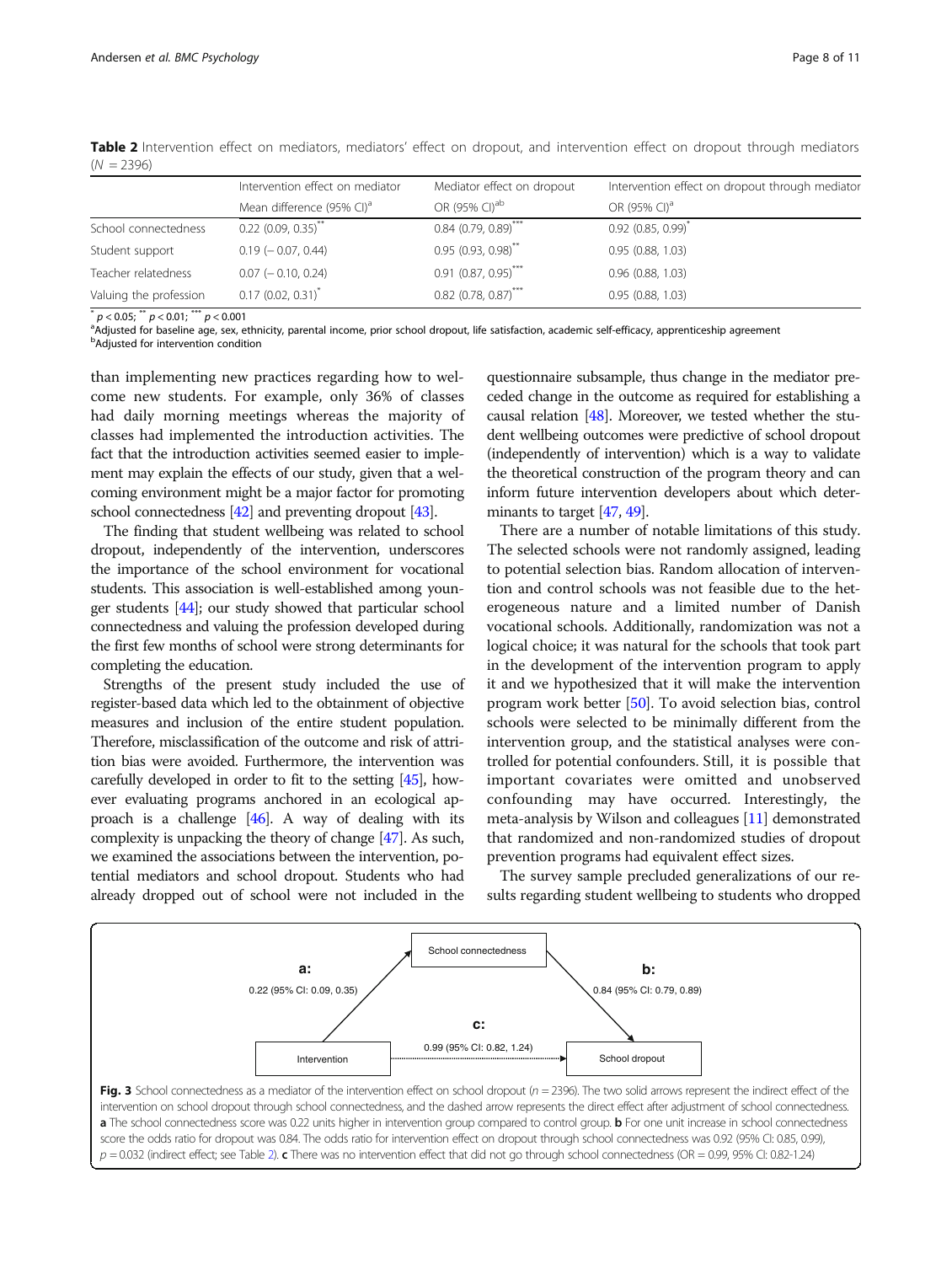|                        | Intervention effect on mediator       | Mediator effect on dropout         | Intervention effect on dropout through mediator |
|------------------------|---------------------------------------|------------------------------------|-------------------------------------------------|
|                        | Mean difference (95% CI) <sup>a</sup> | OR (95% CI) <sup>ab</sup>          | OR (95% CI) <sup>a</sup>                        |
| School connectedness   | $0.22$ (0.09, 0.35) <sup>**</sup>     | $0.84$ (0.79, 0.89) <sup>***</sup> | $0.92(0.85, 0.99)^{*}$                          |
| Student support        | $0.19$ ( $-0.07$ , 0.44)              | $0.95(0.93, 0.98)^{**}$            | 0.95(0.88, 1.03)                                |
| Teacher relatedness    | $0.07$ ( $-0.10$ , 0.24)              | $0.91$ (0.87, 0.95) <sup>***</sup> | 0.96(0.88, 1.03)                                |
| Valuing the profession | $0.17$ (0.02, 0.31) <sup>*</sup>      | $0.82$ (0.78, 0.87) <sup>***</sup> | 0.95(0.88, 1.03)                                |

<span id="page-7-0"></span>Table 2 Intervention effect on mediators, mediators' effect on dropout, and intervention effect on dropout through mediators  $(N = 2396)$ 

 $p < 0.05$ ;  $\frac{1}{2}p < 0.01$ ;  $\frac{1}{2}p < 0.001$ <br>and insted for baseline age sex at

<sup>a</sup>Adjusted for baseline age, sex, ethnicity, parental income, prior school dropout, life satisfaction, academic self-efficacy, apprenticeship agreement

**b**Adjusted for intervention condition

than implementing new practices regarding how to welcome new students. For example, only 36% of classes had daily morning meetings whereas the majority of classes had implemented the introduction activities. The fact that the introduction activities seemed easier to implement may explain the effects of our study, given that a welcoming environment might be a major factor for promoting school connectedness [\[42\]](#page-10-0) and preventing dropout [\[43\]](#page-10-0).

The finding that student wellbeing was related to school dropout, independently of the intervention, underscores the importance of the school environment for vocational students. This association is well-established among younger students [\[44](#page-10-0)]; our study showed that particular school connectedness and valuing the profession developed during the first few months of school were strong determinants for completing the education.

Strengths of the present study included the use of register-based data which led to the obtainment of objective measures and inclusion of the entire student population. Therefore, misclassification of the outcome and risk of attrition bias were avoided. Furthermore, the intervention was carefully developed in order to fit to the setting [[45\]](#page-10-0), however evaluating programs anchored in an ecological approach is a challenge [[46\]](#page-10-0). A way of dealing with its complexity is unpacking the theory of change [\[47\]](#page-10-0). As such, we examined the associations between the intervention, potential mediators and school dropout. Students who had already dropped out of school were not included in the

questionnaire subsample, thus change in the mediator preceded change in the outcome as required for establishing a causal relation [[48](#page-10-0)]. Moreover, we tested whether the student wellbeing outcomes were predictive of school dropout (independently of intervention) which is a way to validate the theoretical construction of the program theory and can inform future intervention developers about which determinants to target [[47](#page-10-0), [49](#page-10-0)].

There are a number of notable limitations of this study. The selected schools were not randomly assigned, leading to potential selection bias. Random allocation of intervention and control schools was not feasible due to the heterogeneous nature and a limited number of Danish vocational schools. Additionally, randomization was not a logical choice; it was natural for the schools that took part in the development of the intervention program to apply it and we hypothesized that it will make the intervention program work better [[50](#page-10-0)]. To avoid selection bias, control schools were selected to be minimally different from the intervention group, and the statistical analyses were controlled for potential confounders. Still, it is possible that important covariates were omitted and unobserved confounding may have occurred. Interestingly, the meta-analysis by Wilson and colleagues [\[11\]](#page-9-0) demonstrated that randomized and non-randomized studies of dropout prevention programs had equivalent effect sizes.

The survey sample precluded generalizations of our results regarding student wellbeing to students who dropped

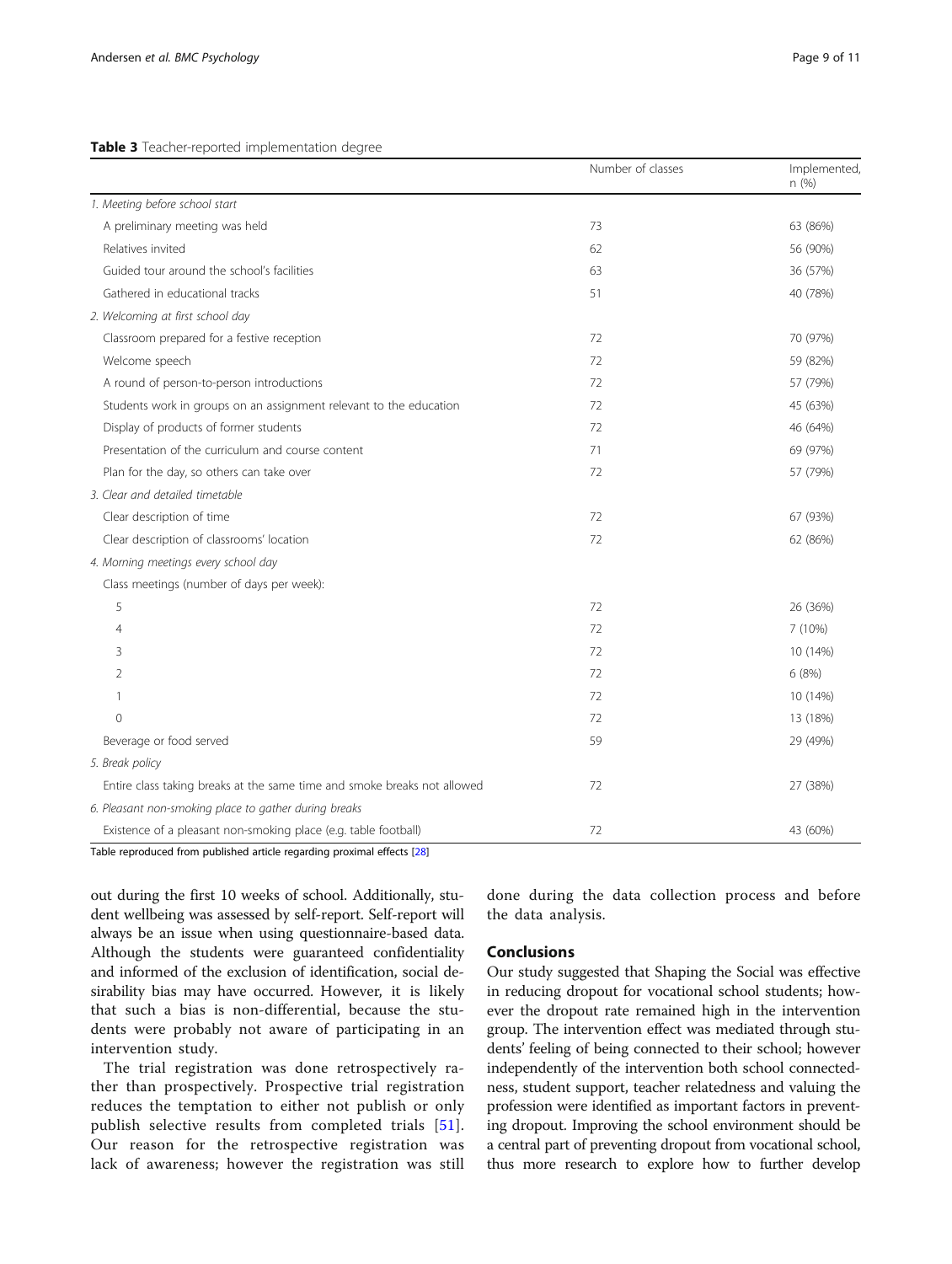<span id="page-8-0"></span>Table 3 Teacher-reported implementation degree

|                                                                          | Number of classes | Implemented,<br>n (%) |
|--------------------------------------------------------------------------|-------------------|-----------------------|
| 1. Meeting before school start                                           |                   |                       |
| A preliminary meeting was held                                           | 73                | 63 (86%)              |
| Relatives invited                                                        | 62                | 56 (90%)              |
| Guided tour around the school's facilities                               | 63                | 36 (57%)              |
| Gathered in educational tracks                                           | 51                | 40 (78%)              |
| 2. Welcoming at first school day                                         |                   |                       |
| Classroom prepared for a festive reception                               | 72                | 70 (97%)              |
| Welcome speech                                                           | 72                | 59 (82%)              |
| A round of person-to-person introductions                                | 72                | 57 (79%)              |
| Students work in groups on an assignment relevant to the education       | 72                | 45 (63%)              |
| Display of products of former students                                   | 72                | 46 (64%)              |
| Presentation of the curriculum and course content                        | 71                | 69 (97%)              |
| Plan for the day, so others can take over                                | 72                | 57 (79%)              |
| 3. Clear and detailed timetable                                          |                   |                       |
| Clear description of time                                                | 72                | 67 (93%)              |
| Clear description of classrooms' location                                | 72                | 62 (86%)              |
| 4. Morning meetings every school day                                     |                   |                       |
| Class meetings (number of days per week):                                |                   |                       |
| 5                                                                        | 72                | 26 (36%)              |
| $\overline{4}$                                                           | 72                | 7 (10%)               |
| 3                                                                        | 72                | 10 (14%)              |
| $\overline{2}$                                                           | 72                | 6 (8%)                |
| -1                                                                       | 72                | 10 (14%)              |
| $\Omega$                                                                 | 72                | 13 (18%)              |
| Beverage or food served                                                  | 59                | 29 (49%)              |
| 5. Break policy                                                          |                   |                       |
| Entire class taking breaks at the same time and smoke breaks not allowed | 72                | 27 (38%)              |
| 6. Pleasant non-smoking place to gather during breaks                    |                   |                       |
| Existence of a pleasant non-smoking place (e.g. table football)          | 72                | 43 (60%)              |

Table reproduced from published article regarding proximal effects [[28\]](#page-10-0)

out during the first 10 weeks of school. Additionally, student wellbeing was assessed by self-report. Self-report will always be an issue when using questionnaire-based data. Although the students were guaranteed confidentiality and informed of the exclusion of identification, social desirability bias may have occurred. However, it is likely that such a bias is non-differential, because the students were probably not aware of participating in an intervention study.

The trial registration was done retrospectively rather than prospectively. Prospective trial registration reduces the temptation to either not publish or only publish selective results from completed trials [[51](#page-10-0)]. Our reason for the retrospective registration was lack of awareness; however the registration was still done during the data collection process and before the data analysis.

## Conclusions

Our study suggested that Shaping the Social was effective in reducing dropout for vocational school students; however the dropout rate remained high in the intervention group. The intervention effect was mediated through students' feeling of being connected to their school; however independently of the intervention both school connectedness, student support, teacher relatedness and valuing the profession were identified as important factors in preventing dropout. Improving the school environment should be a central part of preventing dropout from vocational school, thus more research to explore how to further develop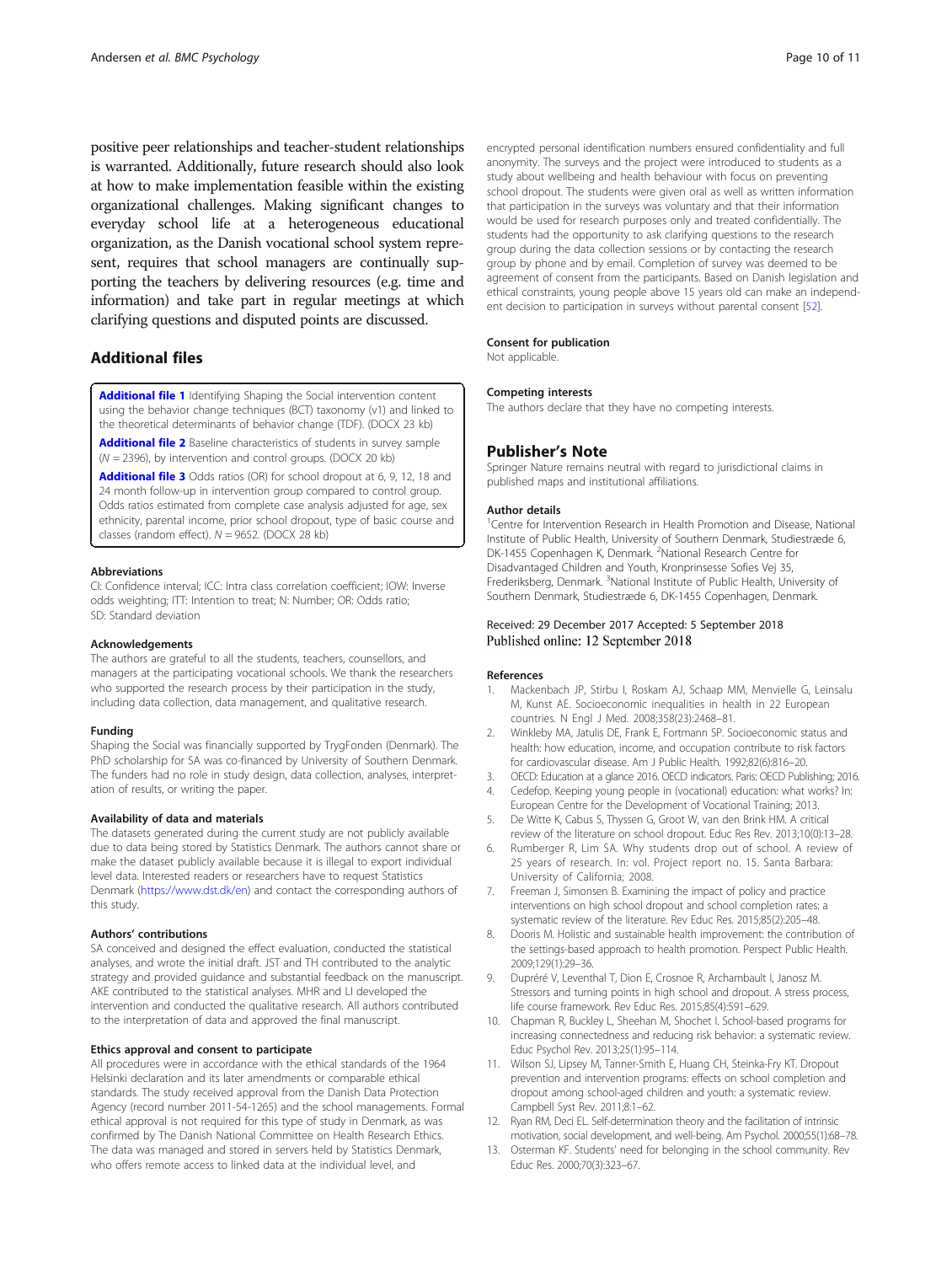<span id="page-9-0"></span>positive peer relationships and teacher-student relationships is warranted. Additionally, future research should also look at how to make implementation feasible within the existing organizational challenges. Making significant changes to everyday school life at a heterogeneous educational organization, as the Danish vocational school system represent, requires that school managers are continually supporting the teachers by delivering resources (e.g. time and information) and take part in regular meetings at which clarifying questions and disputed points are discussed.

## Additional files

[Additional file 1](https://doi.org/10.1186/s40359-018-0258-8) Identifying Shaping the Social intervention content using the behavior change techniques (BCT) taxonomy (v1) and linked to the theoretical determinants of behavior change (TDF). (DOCX 23 kb)

[Additional file 2](https://doi.org/10.1186/s40359-018-0258-8) Baseline characteristics of students in survey sample  $(N = 2396)$ , by intervention and control groups. (DOCX 20 kb)

[Additional file 3](https://doi.org/10.1186/s40359-018-0258-8) Odds ratios (OR) for school dropout at 6, 9, 12, 18 and 24 month follow-up in intervention group compared to control group. Odds ratios estimated from complete case analysis adjusted for age, sex ethnicity, parental income, prior school dropout, type of basic course and classes (random effect).  $N = 9652$ . (DOCX 28 kb)

#### Abbreviations

CI: Confidence interval; ICC: Intra class correlation coefficient; IOW: Inverse odds weighting; ITT: Intention to treat; N: Number; OR: Odds ratio; SD: Standard deviation

#### Acknowledgements

The authors are grateful to all the students, teachers, counsellors, and managers at the participating vocational schools. We thank the researchers who supported the research process by their participation in the study, including data collection, data management, and qualitative research.

#### Funding

Shaping the Social was financially supported by TrygFonden (Denmark). The PhD scholarship for SA was co-financed by University of Southern Denmark. The funders had no role in study design, data collection, analyses, interpretation of results, or writing the paper.

## Availability of data and materials

The datasets generated during the current study are not publicly available due to data being stored by Statistics Denmark. The authors cannot share or make the dataset publicly available because it is illegal to export individual level data. Interested readers or researchers have to request Statistics Denmark [\(https://www.dst.dk/en](https://www.dst.dk/en)) and contact the corresponding authors of this study.

#### Authors' contributions

SA conceived and designed the effect evaluation, conducted the statistical analyses, and wrote the initial draft. JST and TH contributed to the analytic strategy and provided guidance and substantial feedback on the manuscript. AKE contributed to the statistical analyses. MHR and LI developed the intervention and conducted the qualitative research. All authors contributed to the interpretation of data and approved the final manuscript.

## Ethics approval and consent to participate

All procedures were in accordance with the ethical standards of the 1964 Helsinki declaration and its later amendments or comparable ethical standards. The study received approval from the Danish Data Protection Agency (record number 2011-54-1265) and the school managements. Formal ethical approval is not required for this type of study in Denmark, as was confirmed by The Danish National Committee on Health Research Ethics. The data was managed and stored in servers held by Statistics Denmark, who offers remote access to linked data at the individual level, and

encrypted personal identification numbers ensured confidentiality and full anonymity. The surveys and the project were introduced to students as a study about wellbeing and health behaviour with focus on preventing school dropout. The students were given oral as well as written information that participation in the surveys was voluntary and that their information would be used for research purposes only and treated confidentially. The students had the opportunity to ask clarifying questions to the research group during the data collection sessions or by contacting the research group by phone and by email. Completion of survey was deemed to be agreement of consent from the participants. Based on Danish legislation and ethical constraints, young people above 15 years old can make an independent decision to participation in surveys without parental consent [\[52\]](#page-10-0).

#### Consent for publication

Not applicable.

#### Competing interests

The authors declare that they have no competing interests.

## Publisher's Note

Springer Nature remains neutral with regard to jurisdictional claims in published maps and institutional affiliations.

#### Author details

<sup>1</sup> Centre for Intervention Research in Health Promotion and Disease, National Institute of Public Health, University of Southern Denmark, Studiestræde 6, DK-1455 Copenhagen K, Denmark.<sup>2</sup> National Research Centre for Disadvantaged Children and Youth, Kronprinsesse Sofies Vej 35, Frederiksberg, Denmark. <sup>3</sup>National Institute of Public Health, University of Southern Denmark, Studiestræde 6, DK-1455 Copenhagen, Denmark.

## Received: 29 December 2017 Accepted: 5 September 2018 Published online: 12 September 2018

#### References

- Mackenbach JP, Stirbu I, Roskam AJ, Schaap MM, Menvielle G, Leinsalu M, Kunst AE. Socioeconomic inequalities in health in 22 European countries. N Engl J Med. 2008;358(23):2468–81.
- 2. Winkleby MA, Jatulis DE, Frank E, Fortmann SP. Socioeconomic status and health: how education, income, and occupation contribute to risk factors for cardiovascular disease. Am J Public Health. 1992;82(6):816–20.
- 3. OECD: Education at a glance 2016. OECD indicators. Paris: OECD Publishing; 2016.
- 4. Cedefop. Keeping young people in (vocational) education: what works? In: European Centre for the Development of Vocational Training; 2013.
- 5. De Witte K, Cabus S, Thyssen G, Groot W, van den Brink HM. A critical review of the literature on school dropout. Educ Res Rev. 2013;10(0):13–28.
- 6. Rumberger R, Lim SA. Why students drop out of school. A review of 25 years of research. In: vol. Project report no. 15. Santa Barbara: University of California; 2008.
- 7. Freeman J, Simonsen B. Examining the impact of policy and practice interventions on high school dropout and school completion rates: a systematic review of the literature. Rev Educ Res. 2015;85(2):205–48.
- 8. Dooris M. Holistic and sustainable health improvement: the contribution of the settings-based approach to health promotion. Perspect Public Health. 2009;129(1):29–36.
- 9. Dupréré V, Leventhal T, Dion E, Crosnoe R, Archambault I, Janosz M. Stressors and turning points in high school and dropout. A stress process, life course framework. Rev Educ Res. 2015;85(4):591–629.
- 10. Chapman R, Buckley L, Sheehan M, Shochet I. School-based programs for increasing connectedness and reducing risk behavior: a systematic review. Educ Psychol Rev. 2013;25(1):95–114.
- 11. Wilson SJ, Lipsey M, Tanner-Smith E, Huang CH, Steinka-Fry KT. Dropout prevention and intervention programs: effects on school completion and dropout among school-aged children and youth: a systematic review. Campbell Syst Rev. 2011;8:1–62.
- 12. Ryan RM, Deci EL. Self-determination theory and the facilitation of intrinsic motivation, social development, and well-being. Am Psychol. 2000;55(1):68–78.
- 13. Osterman KF. Students' need for belonging in the school community. Rev Educ Res. 2000;70(3):323–67.